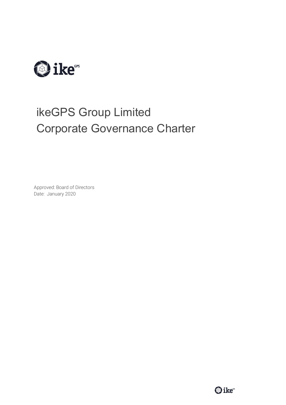

# ikeGPS Group Limited Corporate Governance Charter

Approved: Board of Directors Date: January 2020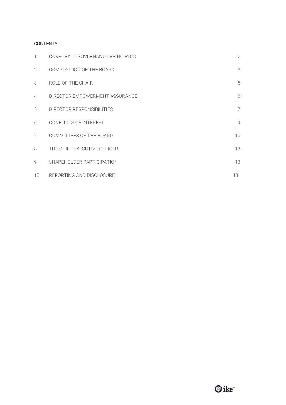# **CONTENTS**

| 1               | CORPORATE GOVERNANCE PRINCIPLES | $\mathbf{2}$    |
|-----------------|---------------------------------|-----------------|
| 2               | COMPOSITION OF THE BOARD        | 3               |
| 3               | ROLE OF THE CHAIR               | 5               |
| $\overline{4}$  | DIRECTOR EMPOWERMENT ASSURANCE  | 6               |
| 5               | DIRECTOR RESPONSIBILITIES       | 7               |
| 6               | CONFLICTS OF INTEREST           | 9               |
| 7               | COMMITTEES OF THE BOARD         | 10 <sup>°</sup> |
| 8               | THE CHIEF EXECUTIVE OFFICER     | 12              |
| 9               | SHAREHOLDER PARTICIPATION       | 13              |
| 10 <sup>°</sup> | REPORTING AND DISCLOSURE        | $13_{-}$        |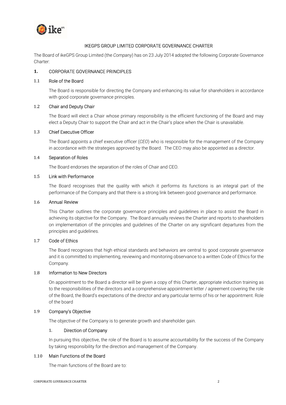

# IKEGPS GROUP LIMITED CORPORATE GOVERNANCE CHARTER

The Board of ikeGPS Group Limited (the Company) has on 23 July 2014 adopted the following Corporate Governance Charter:

# 1. CORPORATE GOVERNANCE PRINCIPLES

#### 1.1 Role of the Board

The Board is responsible for directing the Company and enhancing its value for shareholders in accordance with good corporate governance principles.

# 1.2 Chair and Deputy Chair

The Board will elect a Chair whose primary responsibility is the efficient functioning of the Board and may elect a Deputy Chair to support the Chair and act in the Chair's place when the Chair is unavailable.

#### 1.3 Chief Executive Officer

The Board appoints a chief executive officer (CEO) who is responsible for the management of the Company in accordance with the strategies approved by the Board. The CEO may also be appointed as a director.

#### 1.4 Separation of Roles

The Board endorses the separation of the roles of Chair and CEO.

# 1.5 Link with Performance

The Board recognises that the quality with which it performs its functions is an integral part of the performance of the Company and that there is a strong link between good governance and performance.

#### 1.6 Annual Review

This Charter outlines the corporate governance principles and guidelines in place to assist the Board in achieving its objective for the Company. The Board annually reviews the Charter and reports to shareholders on implementation of the principles and guidelines of the Charter on any significant departures from the principles and guidelines.

# 1.7 Code of Ethics

The Board recognises that high ethical standards and behaviors are central to good corporate governance and it is committed to implementing, reviewing and monitoring observance to a written Code of Ethics for the Company.

#### 1.8 Information to New Directors

On appointment to the Board a director will be given a copy of this Charter, appropriate induction training as to the responsibilities of the directors and a comprehensive appointment letter / agreement covering the role of the Board, the Board's expectations of the director and any particular terms of his or her appointment. Role of the board

#### 1.9 Company's Objective

The objective of the Company is to generate growth and shareholder gain.

#### 1. Direction of Company

In pursuing this objective, the role of the Board is to assume accountability for the success of the Company by taking responsibility for the direction and management of the Company.

#### 1.10 Main Functions of the Board

The main functions of the Board are to: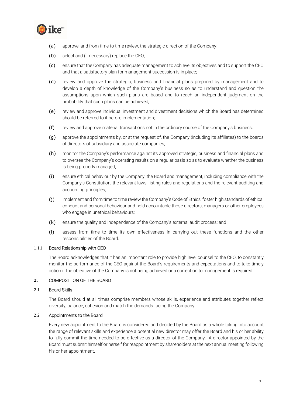

- (a) approve, and from time to time review, the strategic direction of the Company;
- (b) select and (if necessary) replace the CEO;
- (c) ensure that the Company has adequate management to achieve its objectives and to support the CEO and that a satisfactory plan for management succession is in place;
- (d) review and approve the strategic, business and financial plans prepared by management and to develop a depth of knowledge of the Company's business so as to understand and question the assumptions upon which such plans are based and to reach an independent judgment on the probability that such plans can be achieved;
- (e) review and approve individual investment and divestment decisions which the Board has determined should be referred to it before implementation;
- (f) review and approve material transactions not in the ordinary course of the Company's business;
- (g) approve the appointments by, or at the request of, the Company (including its affiliates) to the boards of directors of subsidiary and associate companies;
- (h) monitor the Company's performance against its approved strategic, business and financial plans and to oversee the Company's operating results on a regular basis so as to evaluate whether the business is being properly managed;
- (i) ensure ethical behaviour by the Company, the Board and management, including compliance with the Company's Constitution, the relevant laws, listing rules and regulations and the relevant auditing and accounting principles;
- (j) implement and from time to time review the Company's Code of Ethics, foster high standards of ethical conduct and personal behaviour and hold accountable those directors, managers or other employees who engage in unethical behaviours;
- (k) ensure the quality and independence of the Company's external audit process; and
- (l) assess from time to time its own effectiveness in carrying out these functions and the other responsibilities of the Board.

#### 1.11 Board Relationship with CEO

The Board acknowledges that it has an important role to provide high level counsel to the CEO, to constantly monitor the performance of the CEO against the Board's requirements and expectations and to take timely action if the objective of the Company is not being achieved or a correction to management is required.

# 2. COMPOSITION OF THE BOARD

#### 2.1 Board Skills

The Board should at all times comprise members whose skills, experience and attributes together reflect diversity, balance, cohesion and match the demands facing the Company.

#### 2.2 Appointments to the Board

Every new appointment to the Board is considered and decided by the Board as a whole taking into account the range of relevant skills and experience a potential new director may offer the Board and his or her ability to fully commit the time needed to be effective as a director of the Company. A director appointed by the Board must submit himself or herself for reappointment by shareholders at the next annual meeting following his or her appointment.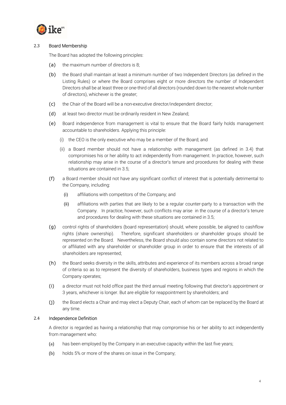

# 2.3 Board Membership

The Board has adopted the following principles:

- (a) the maximum number of directors is 8;
- (b) the Board shall maintain at least a minimum number of two Independent Directors (as defined in the Listing Rules) or where the Board comprises eight or more directors the number of Independent Directors shall be at least three or one-third of all directors (rounded down to the nearest whole number of directors), whichever is the greater;
- (c) the Chair of the Board will be a non-executive director/independent director;
- (d) at least two director must be ordinarily resident in New Zealand;
- (e) Board independence from management is vital to ensure that the Board fairly holds management accountable to shareholders. Applying this principle:
	- (i) the CEO is the only executive who may be a member of the Board; and
	- (ii) a Board member should not have a relationship with management (as defined in 3.4) that compromises his or her ability to act independently from management. In practice, however, such relationship may arise in the course of a director's tenure and procedures for dealing with these situations are contained in 3.5;
- (f) a Board member should not have any significant conflict of interest that is potentially detrimental to the Company, including:
	- (i) affiliations with competitors of the Company; and
	- (ii) affiliations with parties that are likely to be a regular counter-party to a transaction with the Company. In practice, however, such conflicts may arise in the course of a director's tenure and procedures for dealing with these situations are contained in 3.5;
- (g) control rights of shareholders (board representation) should, where possible, be aligned to cashflow rights (share ownership). Therefore, significant shareholders or shareholder groups should be represented on the Board. Nevertheless, the Board should also contain some directors not related to or affiliated with any shareholder or shareholder group in order to ensure that the interests of all shareholders are represented;
- (h) the Board seeks diversity in the skills, attributes and experience of its members across a broad range of criteria so as to represent the diversity of shareholders, business types and regions in which the Company operates;
- (i) a director must not hold office past the third annual meeting following that director's appointment or 3 years, whichever is longer. But are eligible for reappointment by shareholders; and
- (j) the Board elects a Chair and may elect a Deputy Chair, each of whom can be replaced by the Board at any time.

#### 2.4 Independence Definition

A director is regarded as having a relationship that may compromise his or her ability to act independently from management who:

- (a) has been employed by the Company in an executive capacity within the last five years;
- (b) holds 5% or more of the shares on issue in the Company;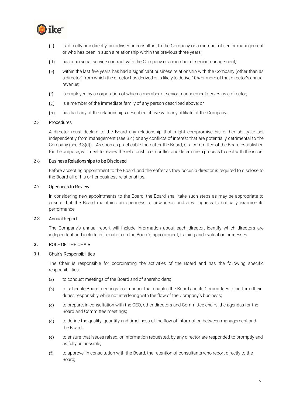

- (c) is, directly or indirectly, an adviser or consultant to the Company or a member of senior management or who has been in such a relationship within the previous three years;
- (d) has a personal service contract with the Company or a member of senior management;
- (e) within the last five years has had a significant business relationship with the Company (other than as a director) from which the director has derived or is likely to derive 10% or more of that director's annual revenue;
- (f) is employed by a corporation of which a member of senior management serves as a director;
- (g) is a member of the immediate family of any person described above; or
- (h) has had any of the relationships described above with any affiliate of the Company.

#### 2.5 Procedures

A director must declare to the Board any relationship that might compromise his or her ability to act independently from management (see 3.4) or any conflicts of interest that are potentially detrimental to the Company (see 3.3(d)). As soon as practicable thereafter the Board, or a committee of the Board established for the purpose, will meet to review the relationship or conflict and determine a process to deal with the issue.

#### 2.6 Business Relationships to be Disclosed

Before accepting appointment to the Board, and thereafter as they occur, a director is required to disclose to the Board all of his or her business relationships.

#### 2.7 Openness to Review

In considering new appointments to the Board, the Board shall take such steps as may be appropriate to ensure that the Board maintains an openness to new ideas and a willingness to critically examine its performance.

#### 2.8 Annual Report

The Company's annual report will include information about each director, identify which directors are independent and include information on the Board's appointment, training and evaluation processes.

#### 3. ROLE OF THE CHAIR

#### 3.1 Chair's Responsibilities

The Chair is responsible for coordinating the activities of the Board and has the following specific responsibilities:

- (a) to conduct meetings of the Board and of shareholders;
- (b) to schedule Board meetings in a manner that enables the Board and its Committees to perform their duties responsibly while not interfering with the flow of the Company's business;
- (c) to prepare, in consultation with the CEO, other directors and Committee chairs, the agendas for the Board and Committee meetings;
- (d) to define the quality, quantity and timeliness of the flow of information between management and the Board;
- (e) to ensure that issues raised, or information requested, by any director are responded to promptly and as fully as possible;
- (f) to approve, in consultation with the Board, the retention of consultants who report directly to the Board;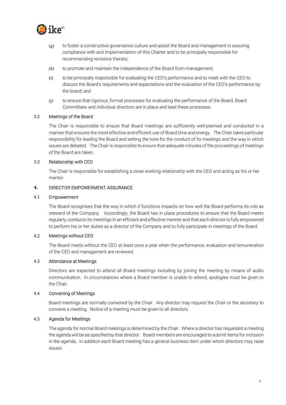

- $(g)$  to foster a constructive governance culture and assist the Board and management in assuring compliance with and implementation of this Charter and to be principally responsible for recommending revisions thereto;
- (h) to promote and maintain the independence of the Board from management;
- (i) to be principally responsible for evaluating the CEO's performance and to meet with the CEO to discuss the Board's requirements and expectations and the evaluation of the CEO's performance by the board; and
- (j) to ensure that rigorous, formal processes for evaluating the performance of the Board, Board Committees and individual directors are in place and lead these processes.

#### 3.2 Meetings of the Board

The Chair is responsible to ensure that Board meetings are sufficiently well-planned and conducted in a manner that ensures the most effective and efficient use of Board time and energy. The Chair takes particular responsibility for leading the Board and setting the tone for the conduct of its meetings and the way in which issues are debated. The Chair is responsible to ensure that adequate minutes of the proceedings of meetings of the Board are taken.

#### 3.3 Relationship with CEO

The Chair is responsible for establishing a close working relationship with the CEO and acting as his or her mentor.

#### 4. DIRECTOR EMPOWERMENT ASSURANCE

#### 4.1 Empowerment

The Board recognises that the way in which it functions impacts on how well the Board performs its role as steward of the Company. Accordingly, the Board has in place procedures to ensure that the Board meets regularly, conducts its meetings in an efficient and effective manner and that each director is fully empowered to perform his or her duties as a director of the Company and to fully participate in meetings of the Board.

#### 4.2 Meetings without CEO

The Board meets without the CEO at least once a year when the performance, evaluation and remuneration of the CEO and management are reviewed.

# 4.3 Attendance at Meetings

Directors are expected to attend all Board meetings including by joining the meeting by means of audio communication. In circumstances where a Board member is unable to attend, apologies must be given to the Chair.

#### 4.4 Convening of Meetings

Board meetings are normally convened by the Chair. Any director may request the Chair or the secretary to convene a meeting. Notice of a meeting must be given to all directors.

#### 4.5 Agenda for Meetings

The agenda for normal Board meetings is determined by the Chair. Where a director has requested a meeting the agenda will be as specified by that director. Board members are encouraged to submit items for inclusion in the agenda. In addition each Board meeting has a general business item under which directors may raise issues.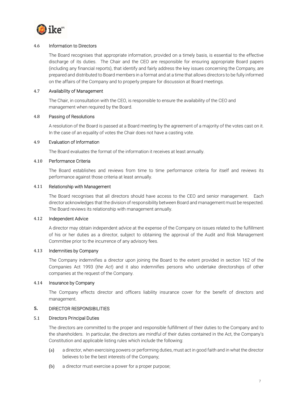

#### 4.6 Information to Directors

The Board recognises that appropriate information, provided on a timely basis, is essential to the effective discharge of its duties. The Chair and the CEO are responsible for ensuring appropriate Board papers (including any financial reports), that identify and fairly address the key issues concerning the Company, are prepared and distributed to Board members in a format and at a time that allows directors to be fully informed on the affairs of the Company and to properly prepare for discussion at Board meetings.

# 4.7 Availability of Management

The Chair, in consultation with the CEO, is responsible to ensure the availability of the CEO and management when required by the Board.

#### 4.8 Passing of Resolutions

A resolution of the Board is passed at a Board meeting by the agreement of a majority of the votes cast on it. In the case of an equality of votes the Chair does not have a casting vote.

#### 4.9 Evaluation of Information

The Board evaluates the format of the information it receives at least annually.

#### 4.10 Performance Criteria

The Board establishes and reviews from time to time performance criteria for itself and reviews its performance against those criteria at least annually.

# 4.11 Relationship with Management

The Board recognises that all directors should have access to the CEO and senior management. Each director acknowledges that the division of responsibility between Board and management must be respected. The Board reviews its relationship with management annually.

#### 4.12 Independent Advice

A director may obtain independent advice at the expense of the Company on issues related to the fulfillment of his or her duties as a director, subject to obtaining the approval of the Audit and Risk Management Committee prior to the incurrence of any advisory fees.

#### 4.13 Indemnities by Company

The Company indemnifies a director upon joining the Board to the extent provided in section 162 of the Companies Act 1993 (the Act) and it also indemnifies persons who undertake directorships of other companies at the request of the Company.

#### 4.14 Insurance by Company

The Company effects director and officers liability insurance cover for the benefit of directors and management.

# 5. DIRECTOR RESPONSIBILITIES

## 5.1 Directors Principal Duties

The directors are committed to the proper and responsible fulfillment of their duties to the Company and to the shareholders. In particular, the directors are mindful of their duties contained in the Act, the Company's Constitution and applicable listing rules which include the following:

- (a) a director, when exercising powers or performing duties, must act in good faith and in what the director believes to be the best interests of the Company;
- (b) a director must exercise a power for a proper purpose;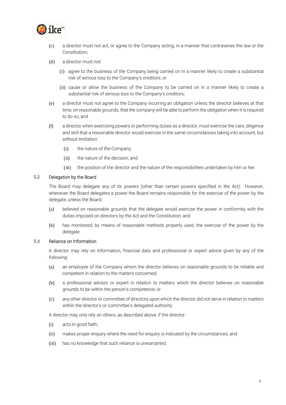

- (c) a director must not act, or agree to the Company acting, in a manner that contravenes the law or the Constitution;
- (d) a director must not:
	- (i) agree to the business of the Company being carried on in a manner likely to create a substantial risk of serious loss to the Company's creditors; or
	- (ii) cause or allow the business of the Company to be carried on in a manner likely to create a substantial risk of serious loss to the Company's creditors;
- (e) a director must not agree to the Company incurring an obligation unless the director believes at that time, on reasonable grounds, that the company will be able to perform the obligation when it is required to do so; and
- (f) a director when exercising powers or performing duties as a director, must exercise the care, diligence and skill that a reasonable director would exercise in the same circumstances taking into account, but without limitation:
	- (i) the nature of the Company;
	- (ii) the nature of the decision; and
	- (iii) the position of the director and the nature of the responsibilities undertaken by him or her.

#### 5.2 Delegation by the Board

The Board may delegate any of its powers (other than certain powers specified in the Act). However, whenever the Board delegates a power the Board remains responsible for the exercise of the power by the delegate, unless the Board:

- (a) believed on reasonable grounds that the delegate would exercise the power in conformity with the duties imposed on directors by the Act and the Constitution; and
- (b) has monitored, by means of reasonable methods properly used, the exercise of the power by the delegate.

#### 5.3 Reliance on Information

A director may rely on information, financial data and professional or expert advice given by any of the following:

- (a) an employee of the Company whom the director believes on reasonable grounds to be reliable and competent in relation to the matters concerned;
- (b) a professional advisor or expert in relation to matters which the director believes on reasonable grounds to be within the person's competence; or
- (c) any other director or committee of directors upon which the director did not serve in relation to matters within the director's or committee's delegated authority.

A director may only rely on others, as described above, if the director:

- (i) acts in good faith;
- (ii) makes proper enquiry where the need for enquiry is indicated by the circumstances; and
- (iii) has no knowledge that such reliance is unwarranted.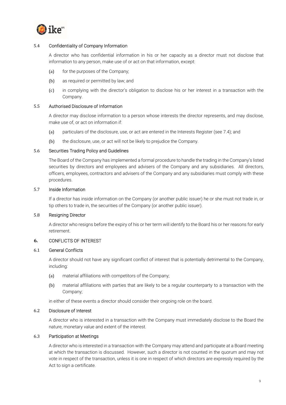

# 5.4 Confidentiality of Company Information

A director who has confidential information in his or her capacity as a director must not disclose that information to any person, make use of or act on that information, except:

- (a) for the purposes of the Company;
- (b) as required or permitted by law; and
- (c) in complying with the director's obligation to disclose his or her interest in a transaction with the Company.

#### 5.5 Authorised Disclosure of Information

A director may disclose information to a person whose interests the director represents, and may disclose, make use of, or act on information if:

- (a) particulars of the disclosure, use, or act are entered in the Interests Register (see 7.4); and
- (b) the disclosure, use, or act will not be likely to prejudice the Company.

# 5.6 Securities Trading Policy and Guidelines

The Board of the Company has implemented a formal procedure to handle the trading in the Company's listed securities by directors and employees and advisers of the Company and any subsidiaries. All directors, officers, employees, contractors and advisers of the Company and any subsidiaries must comply with these procedures.

#### 5.7 Inside Information

If a director has inside information on the Company (or another public issuer) he or she must not trade in, or tip others to trade in, the securities of the Company (or another public issuer).

#### 5.8 Resigning Director

A director who resigns before the expiry of his or her term will identify to the Board his or her reasons for early retirement.

## 6. CONFLICTS OF INTEREST

#### 6.1 General Conflicts

A director should not have any significant conflict of interest that is potentially detrimental to the Company, including:

- (a) material affiliations with competitors of the Company;
- (b) material affiliations with parties that are likely to be a regular counterparty to a transaction with the Company;

in either of these events a director should consider their ongoing role on the board.

#### 6.2 Disclosure of Interest

A director who is interested in a transaction with the Company must immediately disclose to the Board the nature, monetary value and extent of the interest.

#### 6.3 Participation at Meetings

A director who is interested in a transaction with the Company may attend and participate at a Board meeting at which the transaction is discussed. However, such a director is not counted in the quorum and may not vote in respect of the transaction, unless it is one in respect of which directors are expressly required by the Act to sign a certificate.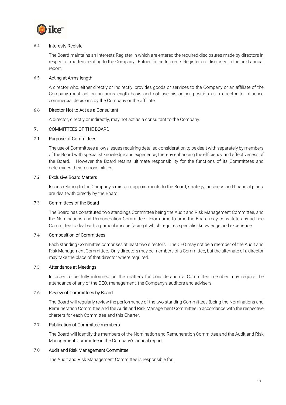

# 6.4 Interests Register

The Board maintains an Interests Register in which are entered the required disclosures made by directors in respect of matters relating to the Company. Entries in the Interests Register are disclosed in the next annual report.

# 6.5 Acting at Arms-length

A director who, either directly or indirectly, provides goods or services to the Company or an affiliate of the Company must act on an arms-length basis and not use his or her position as a director to influence commercial decisions by the Company or the affiliate.

#### 6.6 Director Not to Act as a Consultant

A director, directly or indirectly, may not act as a consultant to the Company.

# 7. COMMITTEES OF THE BOARD

# 7.1 Purpose of Committees

The use of Committees allows issues requiring detailed consideration to be dealt with separately by members of the Board with specialist knowledge and experience, thereby enhancing the efficiency and effectiveness of the Board. However the Board retains ultimate responsibility for the functions of its Committees and determines their responsibilities.

# 7.2 Exclusive Board Matters

Issues relating to the Company's mission, appointments to the Board, strategy, business and financial plans are dealt with directly by the Board.

# 7.3 Committees of the Board

The Board has constituted two standings Committee being the Audit and Risk Management Committee, and the Nominations and Remuneration Committee. From time to time the Board may constitute any ad hoc Committee to deal with a particular issue facing it which requires specialist knowledge and experience.

# 7.4 Composition of Committees

Each standing Committee comprises at least two directors. The CEO may not be a member of the Audit and Risk Management Committee. Only directors may be members of a Committee, but the alternate of a director may take the place of that director where required.

### 7.5 Attendance at Meetings

In order to be fully informed on the matters for consideration a Committee member may require the attendance of any of the CEO, management, the Company's auditors and advisers.

#### 7.6 Review of Committees by Board

The Board will regularly review the performance of the two standing Committees (being the Nominations and Remuneration Committee and the Audit and Risk Management Committee in accordance with the respective charters for each Committee and this Charter.

# 7.7 Publication of Committee members

The Board will identify the members of the Nomination and Remuneration Committee and the Audit and Risk Management Committee in the Company's annual report.

#### 7.8 Audit and Risk Management Committee

The Audit and Risk Management Committee is responsible for: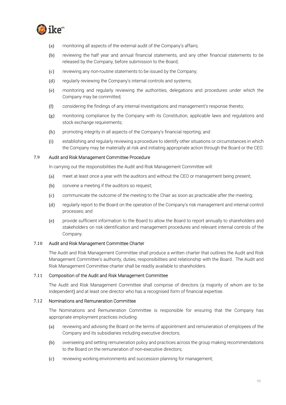

- (a) monitoring all aspects of the external audit of the Company's affairs;
- (b) reviewing the half year and annual financial statements, and any other financial statements to be released by the Company, before submission to the Board;
- (c) reviewing any non-routine statements to be issued by the Company;
- (d) regularly reviewing the Company's internal controls and systems;
- (e) monitoring and regularly reviewing the authorities, delegations and procedures under which the Company may be committed;
- (f) considering the findings of any internal investigations and management's response thereto;
- (g) monitoring compliance by the Company with its Constitution, applicable laws and regulations and stock exchange requirements;
- (h) promoting integrity in all aspects of the Company's financial reporting; and
- (i) establishing and regularly reviewing a procedure to identify other situations or circumstances in which the Company may be materially at risk and initiating appropriate action through the Board or the CEO.

#### 7.9 Audit and Risk Management Committee Procedure

In carrying out the responsibilities the Audit and Risk Management Committee will:

- (a) meet at least once a year with the auditors and without the CEO or management being present;
- (b) convene a meeting if the auditors so request;
- (c) communicate the outcome of the meeting to the Chair as soon as practicable after the meeting;
- (d) regularly report to the Board on the operation of the Company's risk management and internal control processes; and
- (e) provide sufficient information to the Board to allow the Board to report annually to shareholders and stakeholders on risk identification and management procedures and relevant internal controls of the Company.

#### 7.10 Audit and Risk Management Committee Charter

The Audit and Risk Management Committee shall produce a written charter that outlines the Audit and Risk Management Committee's authority, duties, responsibilities and relationship with the Board. The Audit and Risk Management Committee charter shall be readily available to shareholders.

#### 7.11 Composition of the Audit and Risk Management Committee

The Audit and Risk Management Committee shall comprise of directors (a majority of whom are to be independent) and at least one director who has a recognised form of financial expertise.

#### 7.12 Nominations and Remuneration Committee

The Nominations and Remuneration Committee is responsible for ensuring that the Company has appropriate employment practices including:

- (a) reviewing and advising the Board on the terms of appointment and remuneration of employees of the Company and its subsidiaries including executive directors;
- (b) overseeing and setting remuneration policy and practices across the group making recommendations to the Board on the remuneration of non-executive directors;
- (c) reviewing working environments and succession planning for management;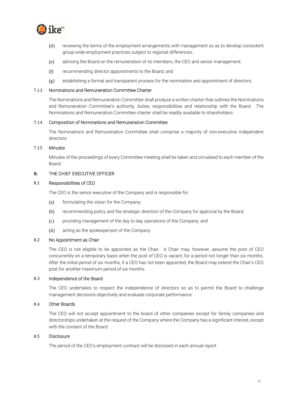

- (d) reviewing the terms of the employment arrangements with management so as to develop consistent group-wide employment practices subject to regional differences;
- (e) advising the Board on the remuneration of its members, the CEO and senior management;
- (f) recommending director appointments to the Board; and
- (g) establishing a formal and transparent process for the nomination and appointment of directors.

#### 7.13 Nominations and Remuneration Committee Charter

The Nominations and Remuneration Committee shall produce a written charter that outlines the Nominations and Remuneration Committee's authority, duties, responsibilities and relationship with the Board. The Nominations and Remuneration Committee charter shall be readily available to shareholders.

#### 7.14 Composition of Nominations and Remuneration Committee

The Nominations and Remuneration Committee shall comprise a majority of non-executive independent directors.

#### 7.15 Minutes

Minutes of the proceedings of every Committee meeting shall be taken and circulated to each member of the Board.

#### 8. THE CHIEF EXECUTIVE OFFICER

#### 8.1 Responsibilities of CEO

The CEO is the senior executive of the Company and is responsible for:

- (a) formulating the vision for the Company;
- (b) recommending policy and the strategic direction of the Company for approval by the Board;
- (c) providing management of the day to day operations of the Company; and
- (d) acting as the spokesperson of the Company.

#### 8.2 No Appointment as Chair

The CEO is not eligible to be appointed as the Chair. A Chair may, however, assume the post of CEO concurrently on a temporary basis when the post of CEO is vacant, for a period not longer than six months. After the initial period of six months, if a CEO has not been appointed, the Board may extend the Chair's CEO post for another maximum period of six months.

#### 8.3 Independence of the Board

The CEO undertakes to respect the independence of directors so as to permit the Board to challenge management decisions objectively and evaluate corporate performance.

#### 8.4 Other Boards

The CEO will not accept appointment to the board of other companies except for family companies and directorships undertaken at the request of the Company where the Company has a significant interest, except with the consent of the Board.

#### 8.5 Disclosure

The period of the CEO's employment contract will be disclosed in each annual report.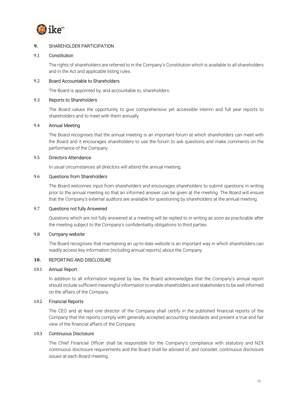

# 9. SHAREHOLDER PARTICIPATION

#### 9.1 Constitution

The rights of shareholders are referred to in the Company's Constitution which is available to all shareholders and in the Act and applicable listing rules.

# 9.2 Board Accountable to Shareholders

The Board is appointed by, and accountable to, shareholders.

# 9.3 Reports to Shareholders

The Board values the opportunity to give comprehensive yet accessible interim and full year reports to shareholders and to meet with them annually.

# 9.4 Annual Meeting

The Board recognises that the annual meeting is an important forum at which shareholders can meet with the Board and it encourages shareholders to use the forum to ask questions and make comments on the performance of the Company.

# 9.5 Directors Attendance

In usual circumstances all directors will attend the annual meeting.

# 9.6 Questions from Shareholders

The Board welcomes input from shareholders and encourages shareholders to submit questions in writing prior to the annual meeting so that an informed answer can be given at the meeting. The Board will ensure that the Company's external auditors are available for questioning by shareholders at the annual meeting.

#### 9.7 Questions not fully Answered

Questions which are not fully answered at a meeting will be replied to in writing as soon as practicable after the meeting subject to the Company's confidentiality obligations to third parties.

### 9.8 Company website

The Board recognises that maintaining an up-to-date website is an important way in which shareholders can readily access key information (including annual reports) about the Company.

# 10. REPORTING AND DISCLOSURE

#### 10.1 Annual Report

In addition to all information required by law, the Board acknowledges that the Company's annual report should include sufficient meaningful information to enable shareholders and stakeholders to be well informed on the affairs of the Company.

#### 10.2 Financial Reports

The CEO and at least one director of the Company shall certify in the published financial reports of the Company that the reports comply with generally accepted accounting standards and present a true and fair view of the financial affairs of the Company.

#### 10.3 Continuous Disclosure

The Chief Financial Officer shall be responsible for the Company's compliance with statutory and NZX continuous disclosure requirements and the Board shall be advised of, and consider, continuous disclosure issues at each Board meeting.